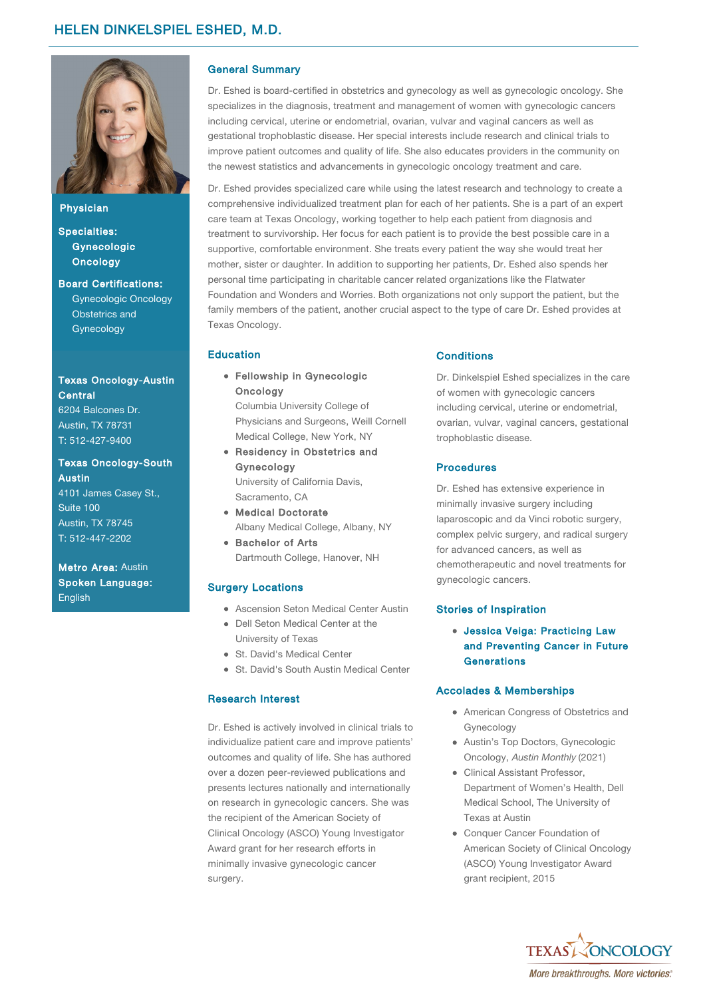

Physician

Specialties: **[Gynecologic](https://www.texasoncology.com/services-and-treatments/medical-programs/gynecologic-oncology) Oncology** 

Board Certifications: Gynecologic Oncology Obstetrics and Gynecology

# [Texas Oncology-Austin](https://www.texasoncology.com/cancer-centers/austin/austin-central/medical-oncology) Central

[6204 Balcones D](http://maps.google.com?q=[ADDRESS])r. Austin, TX 78731 T: [512-427-9400](tel:512-427-9400)

#### [Texas Oncology-South](https://www.texasoncology.com/cancer-centers/austin/south-austin/medical-oncology) **Austin**

[4101 James Case](http://maps.google.com?q=[ADDRESS])y St., Suite 100 Austin, TX 78745 T: [512-447-2202](tel:512-447-2202)

Metro Area: [Austin](https://www.texasoncology.com/cancer-centers/austin-area) Spoken Language: **English** 

# General Summary

Dr. Eshed is board-certified in obstetrics and gynecology as well as gynecologic oncology. She specializes in the diagnosis, treatment and management of women with gynecologic cancers including cervical, uterine or endometrial, ovarian, vulvar and vaginal cancers as well as gestational trophoblastic disease. Her special interests include research and clinical trials to improve patient outcomes and quality of life. She also educates providers in the community on the newest statistics and advancements in gynecologic oncology treatment and care.

Dr. Eshed provides specialized care while using the latest research and technology to create a comprehensive individualized treatment plan for each of her patients. She is a part of an expert care team at Texas Oncology, working together to help each patient from diagnosis and treatment to survivorship. Her focus for each patient is to provide the best possible care in a supportive, comfortable environment. She treats every patient the way she would treat her mother, sister or daughter. In addition to supporting her patients, Dr. Eshed also spends her personal time participating in charitable cancer related organizations like the Flatwater Foundation and Wonders and Worries. Both organizations not only support the patient, but the family members of the patient, another crucial aspect to the type of care Dr. Eshed provides at Texas Oncology.

# Education

Fellowship in Gynecologic **Oncology** 

Columbia University College of Physicians and Surgeons, Weill Cornell Medical College, New York, NY

- Residency in Obstetrics and Gynecology University of California Davis, Sacramento, CA
- Medical Doctorate Albany Medical College, Albany, NY
- **Bachelor of Arts** Dartmouth College, Hanover, NH

### Surgery Locations

- Ascension Seton Medical Center Austin
- Dell Seton Medical Center at the University of Texas
- St. David's Medical Center
- St. David's South Austin Medical Center

#### Research Interest

Dr. Eshed is actively involved in clinical trials to individualize patient care and improve patients' outcomes and quality of life. She has authored over a dozen peer-reviewed publications and presents lectures nationally and internationally on research in gynecologic cancers. She was the recipient of the American Society of Clinical Oncology (ASCO) Young Investigator Award grant for her research efforts in minimally invasive gynecologic cancer surgery.

#### **Conditions**

Dr. Dinkelspiel Eshed specializes in the care of women with gynecologic cancers including cervical, uterine or endometrial, ovarian, vulvar, vaginal cancers, gestational trophoblastic disease.

### **Procedures**

Dr. Eshed has extensive experience in minimally invasive surgery including laparoscopic and da Vinci robotic surgery, complex pelvic surgery, and radical surgery for advanced cancers, as well as chemotherapeutic and novel treatments for gynecologic cancers.

#### Stories of Inspiration

Jessica Veiga: Practicing Law [and Preventing Cancer in Future](https://www.texasoncology.com/patient-stories/jessica-veiga-practicing-law-and-preventing-cancer) **Generations** 

#### Accolades & Memberships

- American Congress of Obstetrics and Gynecology
- Austin's Top Doctors, Gynecologic Oncology, Austin Monthly (2021)
- Clinical Assistant Professor, Department of Women's Health, Dell Medical School, The University of Texas at Austin
- Conquer Cancer Foundation of American Society of Clinical Oncology (ASCO) Young Investigator Award grant recipient, 2015

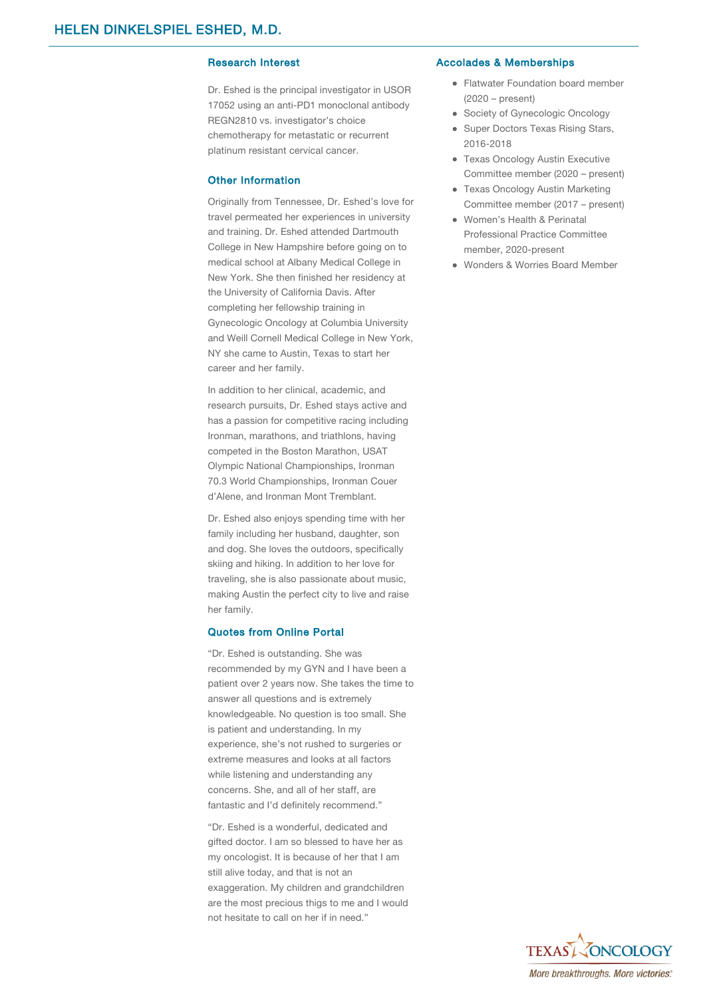Dr. Eshed is the principal investigator in USOR 17052 using an anti-PD1 monoclonal antibody REGN2810 vs. investigator's choice chemotherapy for metastatic or recurrent platinum resistant cervical cancer.

#### Other Information

Originally from Tennessee, Dr. Eshed's love for travel permeated her experiences in university and training. Dr. Eshed attended Dartmouth College in New Hampshire before going on to medical school at Albany Medical College in New York. She then finished her residency at the University of California Davis. After completing her fellowship training in Gynecologic Oncology at Columbia University and Weill Cornell Medical College in New York, NY she came to Austin, Texas to start her career and her family.

In addition to her clinical, academic, and research pursuits, Dr. Eshed stays active and has a passion for competitive racing including Ironman, marathons, and triathlons, having competed in the Boston Marathon, USAT Olympic National Championships, Ironman 70.3 World Championships, Ironman Couer d'Alene, and Ironman Mont Tremblant.

Dr. Eshed also enjoys spending time with her family including her husband, daughter, son and dog. She loves the outdoors, specifically skiing and hiking. In addition to her love for traveling, she is also passionate about music, making Austin the perfect city to live and raise her family.

#### Quotes from Online Portal

"Dr. Eshed is outstanding. She was recommended by my GYN and I have been a patient over 2 years now. She takes the time to answer all questions and is extremely knowledgeable. No question is too small. She is patient and understanding. In my experience, she's not rushed to surgeries or extreme measures and looks at all factors while listening and understanding any concerns. She, and all of her staff, are fantastic and I'd definitely recommend."

"Dr. Eshed is a wonderful, dedicated and gifted doctor. I am so blessed to have her as my oncologist. It is because of her that I am still alive today, and that is not an exaggeration. My children and grandchildren are the most precious thigs to me and I would not hesitate to call on her if in need."

#### Research Interest **Accolades & Memberships**

- Flatwater Foundation board member (2020 – present)
- Society of Gynecologic Oncology
- Super Doctors Texas Rising Stars, 2016-2018
- Texas Oncology Austin Executive Committee member (2020 – present)
- Texas Oncology Austin Marketing Committee member (2017 – present)
- Women's Health & Perinatal Professional Practice Committee member, 2020-present
- Wonders & Worries Board Member